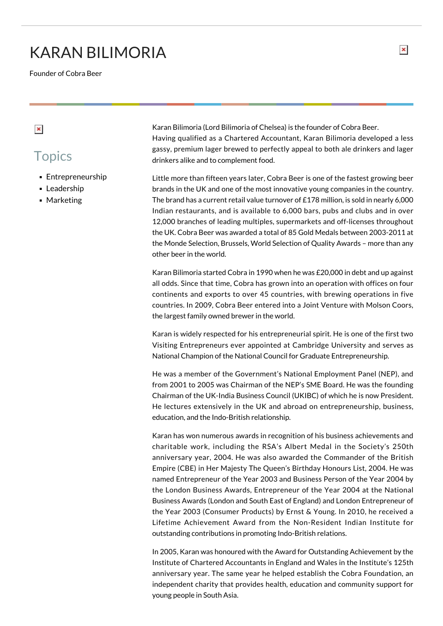## KARAN BILIMORIA

Founder of Cobra Beer

## $\pmb{\times}$

## **Topics**

- **Entrepreneurship**
- **Leadership**
- **Marketing**

Karan Bilimoria (Lord Bilimoria of Chelsea) is the founder of Cobra Beer. Having qualified as a Chartered Accountant, Karan Bilimoria developed a less gassy, premium lager brewed to perfectly appeal to both ale drinkers and lager drinkers alike and to complement food.

Little more than fifteen years later, Cobra Beer is one of the fastest growing beer brands in the UK and one of the most innovative young companies in the country. The brand has a current retail value turnover of £178 million, is sold in nearly 6,000 Indian restaurants, and is available to 6,000 bars, pubs and clubs and in over 12,000 branches of leading multiples, supermarkets and off-licenses throughout the UK. Cobra Beer was awarded a total of 85 Gold Medals between 2003-2011 at the Monde Selection, Brussels, World Selection of Quality Awards – more than any other beer in the world.

Karan Bilimoria started Cobra in 1990 when he was £20,000 in debt and up against all odds. Since that time, Cobra has grown into an operation with offices on four continents and exports to over 45 countries, with brewing operations in five countries. In 2009, Cobra Beer entered into a Joint Venture with Molson Coors, the largest family owned brewer in the world.

Karan is widely respected for his entrepreneurial spirit. He is one of the first two Visiting Entrepreneurs ever appointed at Cambridge University and serves as National Champion of the National Council for Graduate Entrepreneurship.

He was a member of the Government's National Employment Panel (NEP), and from 2001 to 2005 was Chairman of the NEP's SME Board. He was the founding Chairman of the UK-India Business Council (UKIBC) of which he is now President. He lectures extensively in the UK and abroad on entrepreneurship, business, education, and the Indo-British relationship.

Karan has won numerous awards in recognition of his business achievements and charitable work, including the RSA's Albert Medal in the Society's 250th anniversary year, 2004. He was also awarded the Commander of the British Empire (CBE) in Her Majesty The Queen's Birthday Honours List, 2004. He was named Entrepreneur of the Year 2003 and Business Person of the Year 2004 by the London Business Awards, Entrepreneur of the Year 2004 at the National Business Awards (London and South East of England) and London Entrepreneur of the Year 2003 (Consumer Products) by Ernst & Young. In 2010, he received a Lifetime Achievement Award from the Non-Resident Indian Institute for outstanding contributions in promoting Indo-British relations.

In 2005, Karan was honoured with the Award for Outstanding Achievement by the Institute of Chartered Accountants in England and Wales in the Institute's 125th anniversary year. The same year he helped establish the Cobra Foundation, an independent charity that provides health, education and community support for young people in South Asia.